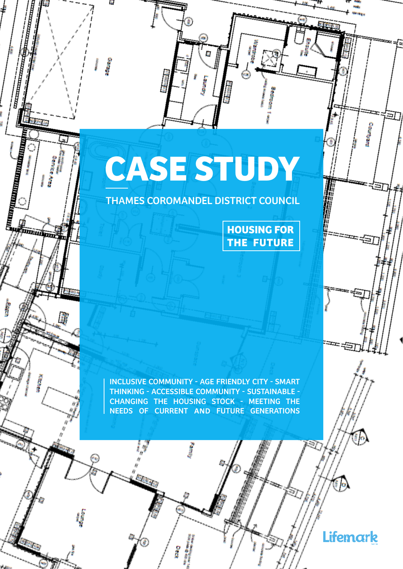# **CASE STUDY**

È.

**Garage** 

ו<br>|}<br>|}

**Contract of the Contract of the Contract of the Contract of the Contract of the Contract of the Contract of the Contract of the Contract of the Contract of the Contract of the Contract of Tags** 

上宫

**GLPG 28** 

**Foundation** 

ğ

**SERVERARE** 

THAMES COROMANDEL DISTRICT COUNCIL

**HOUSING FOR THE FUTURE**

INCLUSIVE COMMUNITY - AGE FRIENDLY CITY - SMART THINKING - ACCESSIBLE COMMUNITY - SUSTAINABLE - CHANGING THE HOUSING STOCK - MEETING THE NEEDS OF CURRENT **AND** FUTURE GENERATIONS

Lifemark

Đ

i S

**Cautyard**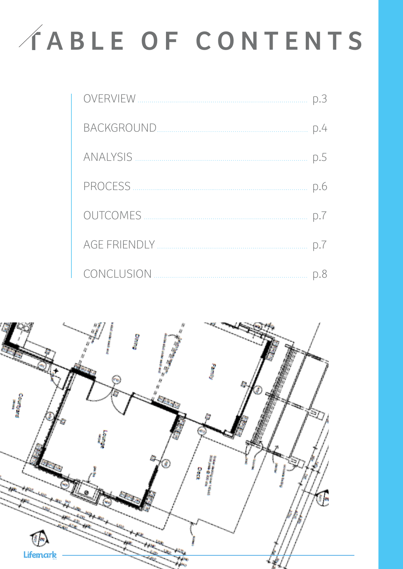# C A B L E O F C O N T E N T S

| PROCESS         |    |
|-----------------|----|
| <b>OUTCOMES</b> |    |
|                 | D. |
| CONCLUSION      |    |

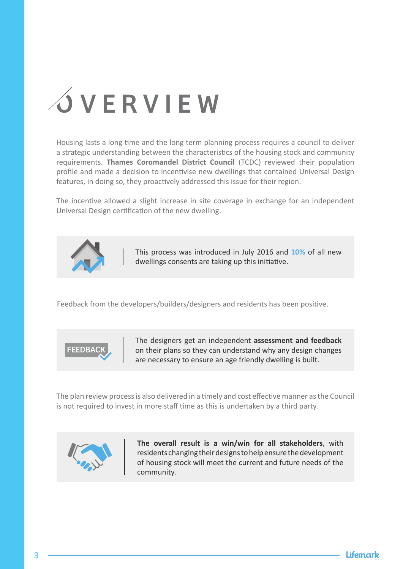

Housing lasts a long time and the long term planning process requires a council to deliver a strategic understanding between the characteristics of the housing stock and community requirements. **Thames Coromandel District Council** (TCDC) reviewed their population profile and made a decision to incentivise new dwellings that contained Universal Design features, in doing so, they proactively addressed this issue for their region.

The incentive allowed a slight increase in site coverage in exchange for an independent Universal Design certification of the new dwelling.



This process was introduced in July 2016 and **10%** of all new dwellings consents are taking up this initiative.

Feedback from the developers/builders/designers and residents has been positive.



The designers get an independent **assessment and feedback** on their plans so they can understand why any design changes are necessary to ensure an age friendly dwelling is built.

The plan review process is also delivered in a timely and cost effective manner as the Council is not required to invest in more staff time as this is undertaken by a third party.



**The overall result is a win/win for all stakeholders**, with residents changing their designs to help ensure the development of housing stock will meet the current and future needs of the community.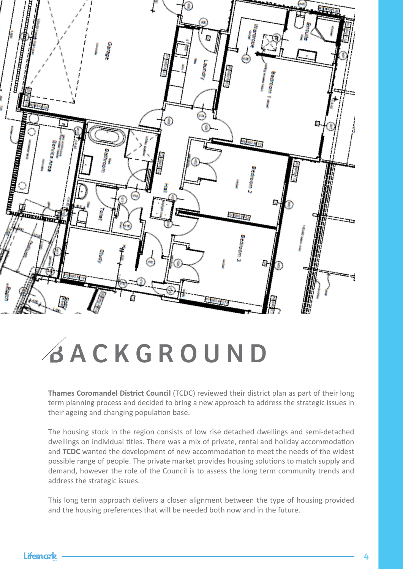

#### B A C K G R O U N D

**Thames Coromandel District Council** (TCDC) reviewed their district plan as part of their long term planning process and decided to bring a new approach to address the strategic issues in their ageing and changing population base.

The housing stock in the region consists of low rise detached dwellings and semi-detached dwellings on individual titles. There was a mix of private, rental and holiday accommodation and **TCDC** wanted the development of new accommodation to meet the needs of the widest possible range of people. The private market provides housing solutions to match supply and demand, however the role of the Council is to assess the long term community trends and address the strategic issues.

This long term approach delivers a closer alignment between the type of housing provided and the housing preferences that will be needed both now and in the future.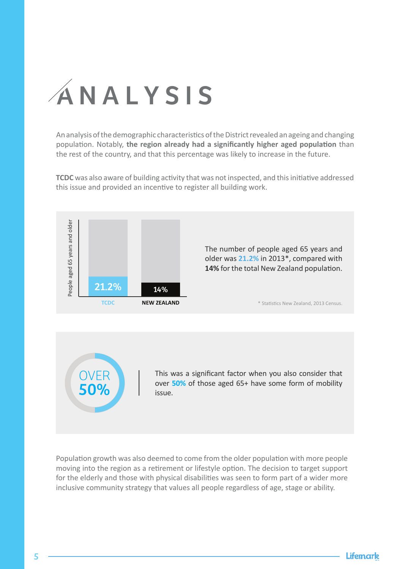## A N A L Y S I S

An analysis of the demographic characteristics of the District revealed an ageing and changing population. Notably, **the region already had a significantly higher aged population** than the rest of the country, and that this percentage was likely to increase in the future.

**TCDC** was also aware of building activity that was not inspected, and this initiative addressed this issue and provided an incentive to register all building work.



Population growth was also deemed to come from the older population with more people moving into the region as a retirement or lifestyle option. The decision to target support for the elderly and those with physical disabilities was seen to form part of a wider more inclusive community strategy that values all people regardless of age, stage or ability.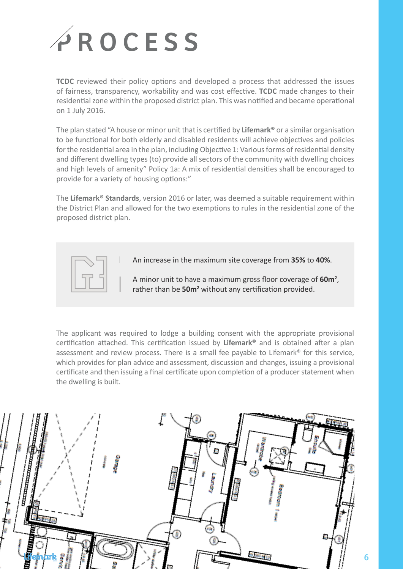

**TCDC** reviewed their policy options and developed a process that addressed the issues of fairness, transparency, workability and was cost effective. **TCDC** made changes to their residential zone within the proposed district plan. This was notified and became operational on 1 July 2016.

The plan stated "A house or minor unit that is certified by **Lifemark®** or a similar organisation to be functional for both elderly and disabled residents will achieve objectives and policies for the residential area in the plan, including Objective 1: Various forms of residential density and different dwelling types (to) provide all sectors of the community with dwelling choices and high levels of amenity" Policy 1a: A mix of residential densities shall be encouraged to provide for a variety of housing options:"

The **Lifemark® Standards**, version 2016 or later, was deemed a suitable requirement within the District Plan and allowed for the two exemptions to rules in the residential zone of the proposed district plan.



An increase in the maximum site coverage from **35%** to **40%**.

A minor unit to have a maximum gross floor coverage of **60m2** , rather than be 50m<sup>2</sup> without any certification provided.

The applicant was required to lodge a building consent with the appropriate provisional certification attached. This certification issued by **Lifemark®** and is obtained after a plan assessment and review process. There is a small fee payable to Lifemark® for this service, which provides for plan advice and assessment, discussion and changes, issuing a provisional certificate and then issuing a final certificate upon completion of a producer statement when the dwelling is built.

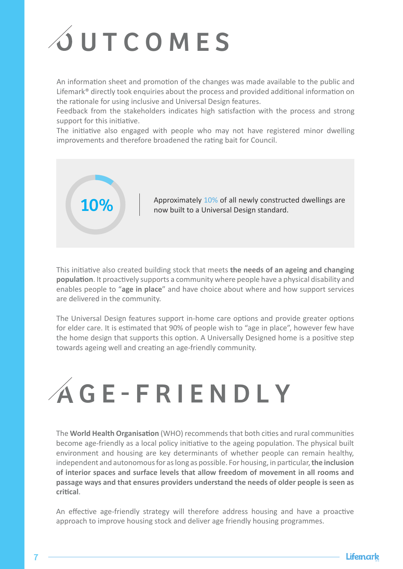## **OUTCOMES**

An information sheet and promotion of the changes was made available to the public and Lifemark® directly took enquiries about the process and provided additional information on the rationale for using inclusive and Universal Design features.

Feedback from the stakeholders indicates high satisfaction with the process and strong support for this initiative.

The initiative also engaged with people who may not have registered minor dwelling improvements and therefore broadened the rating bait for Council.



**10%** Approximately 10% of all newly constructed dwellings are now built to a Universal Design standard.

This initiative also created building stock that meets **the needs of an ageing and changing population**. It proactively supports a community where people have a physical disability and enables people to "**age in place**" and have choice about where and how support services are delivered in the community.

The Universal Design features support in-home care options and provide greater options for elder care. It is estimated that 90% of people wish to "age in place", however few have the home design that supports this option. A Universally Designed home is a positive step towards ageing well and creating an age-friendly community.



The **World Health Organisation** (WHO) recommends that both cities and rural communities become age-friendly as a local policy initiative to the ageing population. The physical built environment and housing are key determinants of whether people can remain healthy, independent and autonomous for as long as possible. For housing, in particular, **the inclusion of interior spaces and surface levels that allow freedom of movement in all rooms and passage ways and that ensures providers understand the needs of older people is seen as critical**.

An effective age-friendly strategy will therefore address housing and have a proactive approach to improve housing stock and deliver age friendly housing programmes.